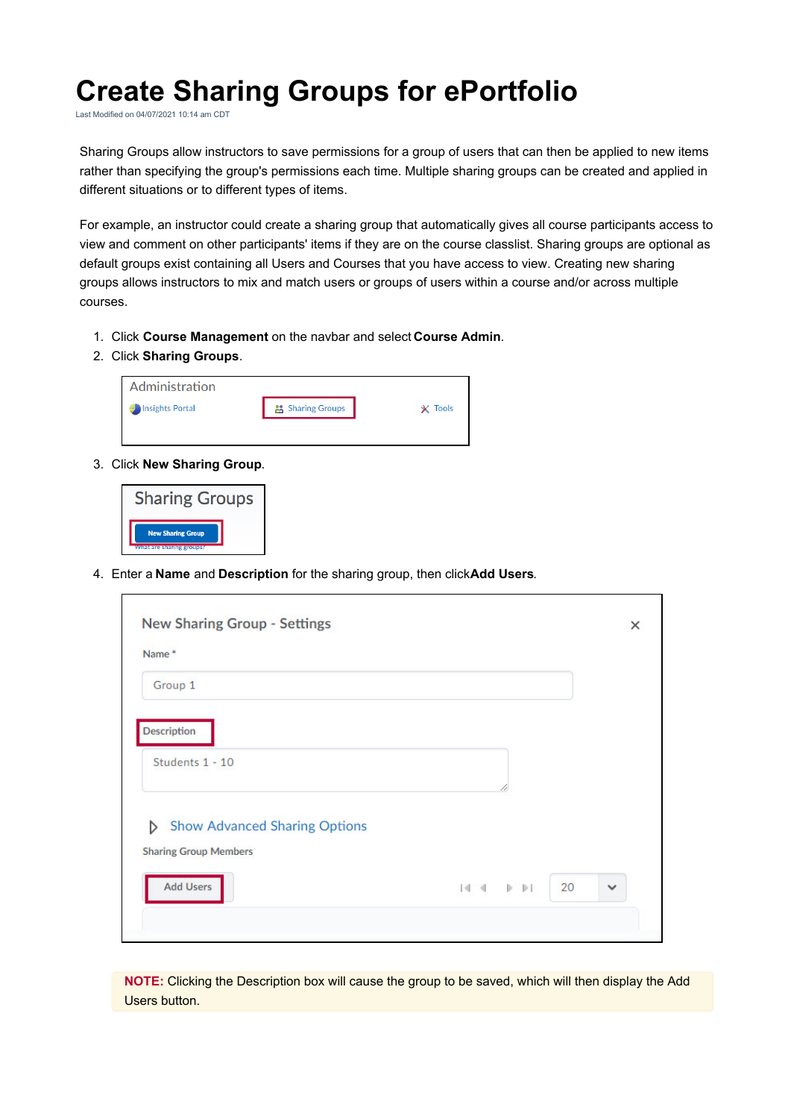## **Create Sharing Groups for ePortfolio**

Last Modified on 04/07/2021 10:14 am CDT

Sharing Groups allow instructors to save permissions for a group of users that can then be applied to new items rather than specifying the group's permissions each time. Multiple sharing groups can be created and applied in different situations or to different types of items.

For example, an instructor could create a sharing group that automatically gives all course participants access to view and comment on other participants' items if they are on the course classlist. Sharing groups are optional as default groups exist containing all Users and Courses that you have access to view. Creating new sharing groups allows instructors to mix and match users or groups of users within a course and/or across multiple courses.

- 1. Click **Course Management** on the navbar and select **Course Admin**.
- 2. Click **Sharing Groups**.

| $23$ Sharing Groups | <b>Tools</b> |
|---------------------|--------------|
|                     |              |
|                     |              |

3. Click **New Sharing Group**.



4. Enter a **Name** and **Description** for the sharing group, then click**Add Users**.

| Name*                                     |                                                             |              |
|-------------------------------------------|-------------------------------------------------------------|--------------|
| Group 1                                   |                                                             |              |
| <b>Description</b>                        |                                                             |              |
| Students 1 - 10                           |                                                             |              |
|                                           |                                                             |              |
| <b>Show Advanced Sharing Options</b><br>D |                                                             |              |
| <b>Sharing Group Members</b>              |                                                             |              |
| <b>Add Users</b>                          | 20<br>$\mathbb{R} \times \mathbb{R} \rightarrow \mathbb{R}$ | $\checkmark$ |

**NOTE:** Clicking the Description box will cause the group to be saved, which will then display the Add Users button.